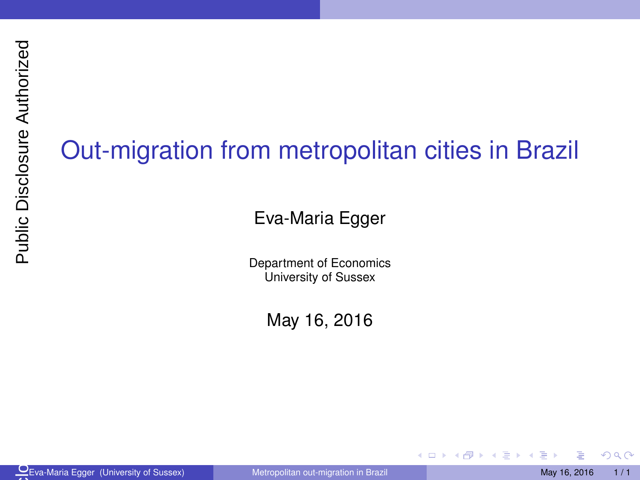## <span id="page-0-0"></span>Out-migration from metropolitan cities in Brazil

Eva-Maria Egger

Department of Economics University of Sussex

May 16, 2016

Eva-Maria Egger (University of Sussex) May 16, 2016 1/1  $\frac{O}{\sqrt{2}}$ Ev

4 0 8 ×.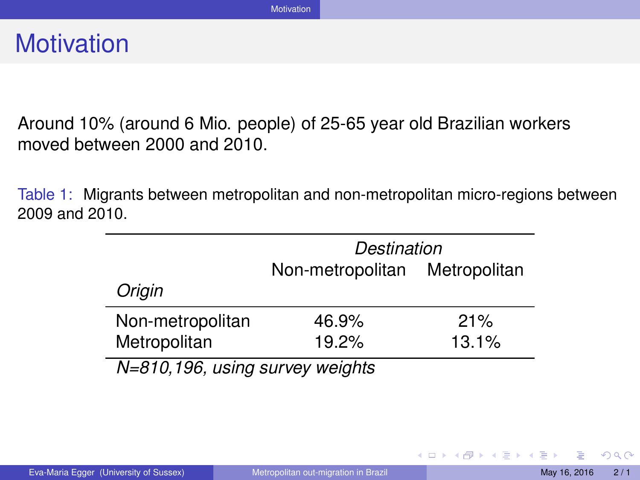<span id="page-1-0"></span>Around 10% (around 6 Mio. people) of 25-65 year old Brazilian workers moved between 2000 and 2010.

Table 1: Migrants between metropolitan and non-metropolitan micro-regions between 2009 and 2010.

|                                 | Destination                   |       |  |
|---------------------------------|-------------------------------|-------|--|
|                                 | Non-metropolitan Metropolitan |       |  |
| Origin                          |                               |       |  |
| Non-metropolitan                | 46.9%                         | 21%   |  |
| Metropolitan                    | 19.2%                         | 13.1% |  |
| N=810,196, using survey weights |                               |       |  |

 $QQ$ 

イロメ イ母メ イヨメ イヨメ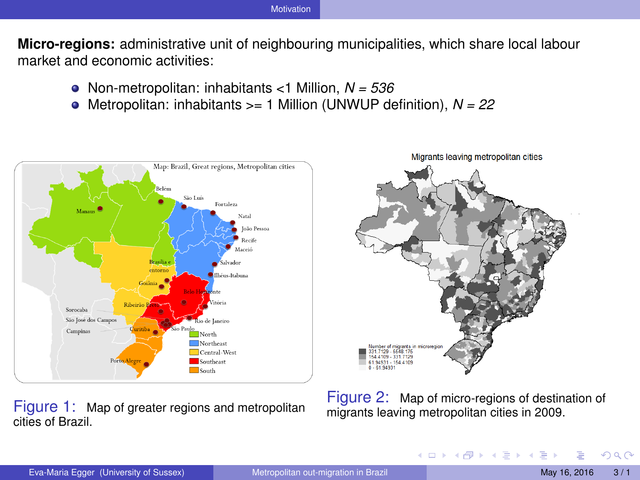<span id="page-2-0"></span>**Micro-regions:** administrative unit of neighbouring municipalities, which share local labour market and economic activities:

- Non-metropolitan: inhabitants <1 Million, *N = 536*
- ۰ Metropolitan: inhabitants >= 1 Million (UNWUP definition), *N = 22*



Figure 1: Map of greater regions and metropolitan cities of Brazil.

Migrants leaving metropolitan cities  $0 - 61.9493$ 

Figure 2: Map of micro-regions of destination of migrants leaving metropolitan cities in 2009.

**K ロ ト K 何 ト K ヨ ト**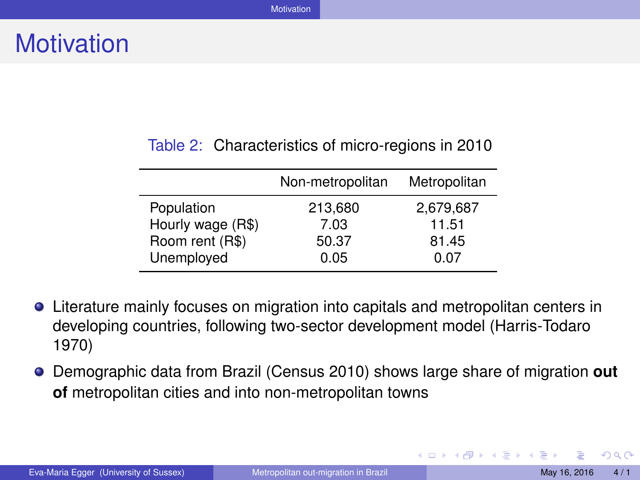#### <span id="page-3-0"></span>Table 2: Characteristics of micro-regions in 2010

|                   | Non-metropolitan | Metropolitan |
|-------------------|------------------|--------------|
| Population        | 213,680          | 2,679,687    |
| Hourly wage (R\$) | 7.03             | 11.51        |
| Room rent (R\$)   | 50.37            | 81.45        |
| Unemployed        | 0.05             | 0.07         |

- Literature mainly focuses on migration into capitals and metropolitan centers in developing countries, following two-sector development model (Harris-Todaro 1970)
- Demographic data from Brazil (Census 2010) shows large share of migration **out of** metropolitan cities and into non-metropolitan towns

 $QQ$ 

イロメ イ母メ イヨメ イヨメ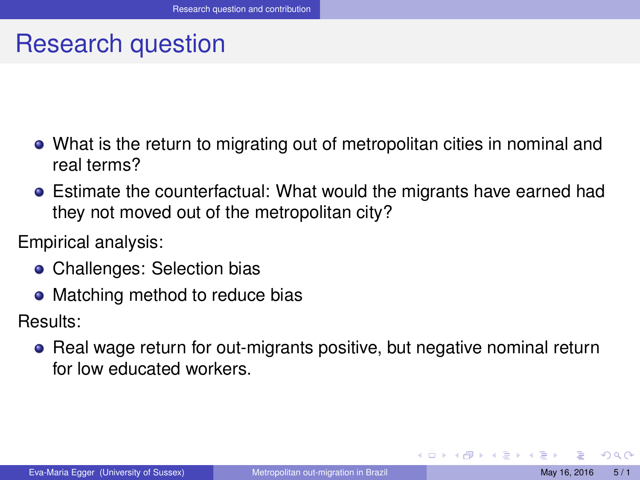### <span id="page-4-0"></span>Research question

- What is the return to migrating out of metropolitan cities in nominal and real terms?
- Estimate the counterfactual: What would the migrants have earned had they not moved out of the metropolitan city?

Empirical analysis:

- Challenges: Selection bias
- Matching method to reduce bias

Results:

• Real wage return for out-migrants positive, but negative nominal return for low educated workers.

◂**◻▸ ◂<del>╓</del>▸**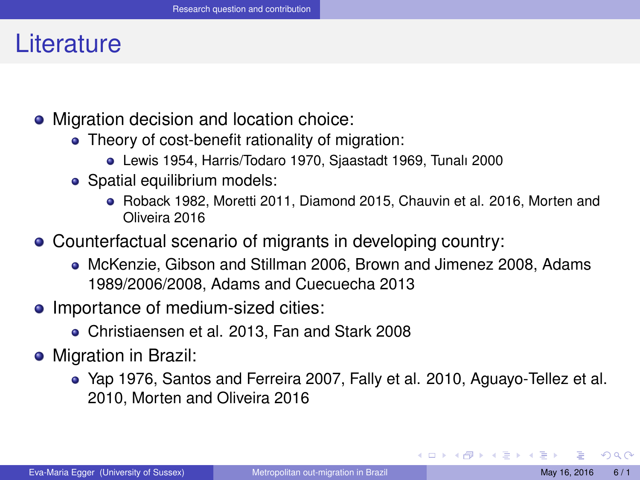#### <span id="page-5-0"></span>**Literature**

- Migration decision and location choice:
	- Theory of cost-benefit rationality of migration:
		- Lewis 1954, Harris/Todaro 1970, Sjaastadt 1969, Tunalı 2000
	- Spatial equilibrium models:
		- Roback 1982, Moretti 2011, Diamond 2015, Chauvin et al. 2016, Morten and Oliveira 2016
- Counterfactual scenario of migrants in developing country:
	- McKenzie, Gibson and Stillman 2006, Brown and Jimenez 2008, Adams 1989/2006/2008, Adams and Cuecuecha 2013
- Importance of medium-sized cities:
	- Christiaensen et al. 2013, Fan and Stark 2008
- Migration in Brazil:
	- Yap 1976, Santos and Ferreira 2007, Fally et al. 2010, Aguayo-Tellez et al. 2010, Morten and Oliveira 2016

in the second property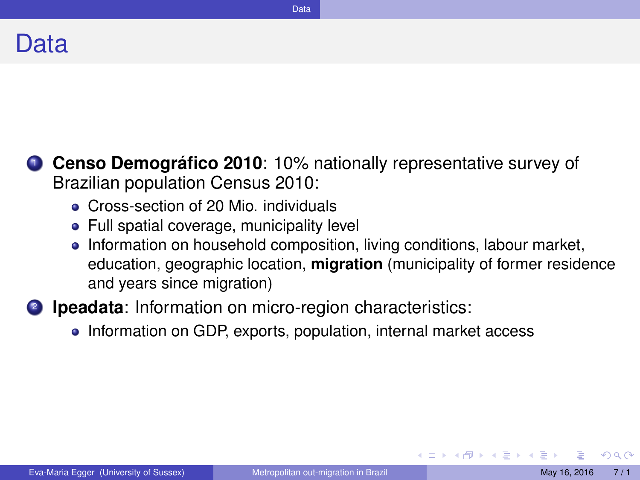<span id="page-6-0"></span>

- **1 Censo Demográfico 2010**: 10% nationally representative survey of Brazilian population Census 2010:
	- **Cross-section of 20 Mio. individuals**
	- Full spatial coverage, municipality level
	- Information on household composition, living conditions, labour market, education, geographic location, **migration** (municipality of former residence and years since migration)
- 2 **Ipeadata**: Information on micro-region characteristics:
	- Information on GDP, exports, population, internal market access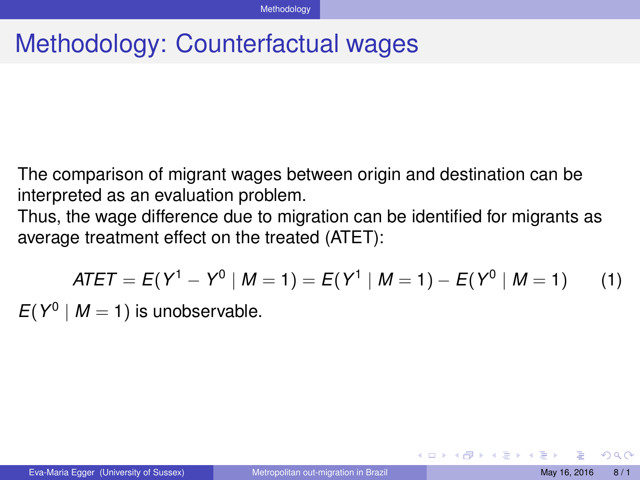## <span id="page-7-0"></span>Methodology: Counterfactual wages

The comparison of migrant wages between origin and destination can be interpreted as an evaluation problem.

Thus, the wage difference due to migration can be identified for migrants as average treatment effect on the treated (ATET):

$$
ATET = E(Y^1 - Y^0 | M = 1) = E(Y^1 | M = 1) - E(Y^0 | M = 1)
$$
 (1)

 $E(Y^0 \mid M = 1)$  is unobservable.

(□ ) (f)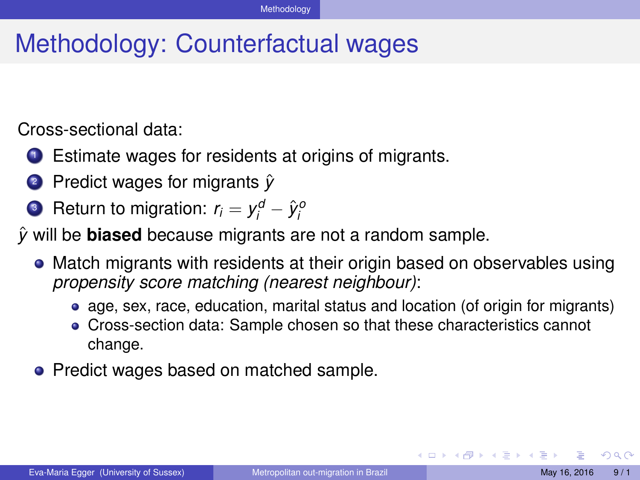## <span id="page-8-0"></span>Methodology: Counterfactual wages

Cross-sectional data:

- <sup>1</sup> Estimate wages for residents at origins of migrants.
- **2** Predict wages for migrants  $\hat{v}$
- **3** Return to migration:  $r_i = y_i^d \hat{y}_i^d$

*y*ˆ will be **biased** because migrants are not a random sample.

- Match migrants with residents at their origin based on observables using *propensity score matching (nearest neighbour)*:
	- age, sex, race, education, marital status and location (of origin for migrants)
	- Cross-section data: Sample chosen so that these characteristics cannot change.
- Predict wages based on matched sample.

**K ロ ト K 何 ト**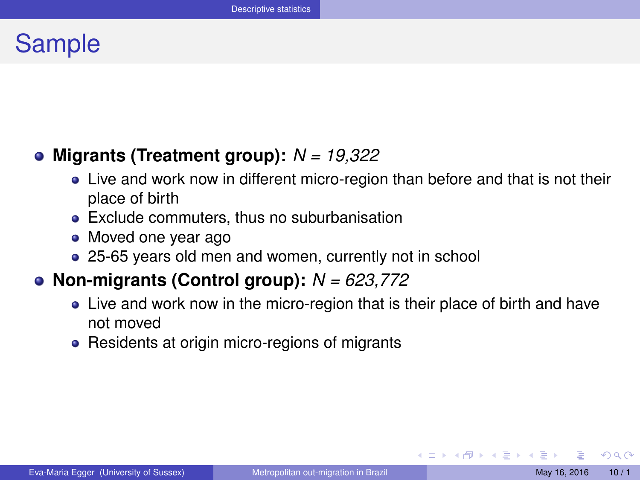### <span id="page-9-0"></span>Sample

#### **Migrants (Treatment group):** *N = 19,322*

- Live and work now in different micro-region than before and that is not their place of birth
- Exclude commuters, thus no suburbanisation
- Moved one year ago
- 25-65 years old men and women, currently not in school

#### **Non-migrants (Control group):** *N = 623,772*

- Live and work now in the micro-region that is their place of birth and have not moved
- Residents at origin micro-regions of migrants

 $QQQ$ 

イロメ イ母メ イヨメ イヨメ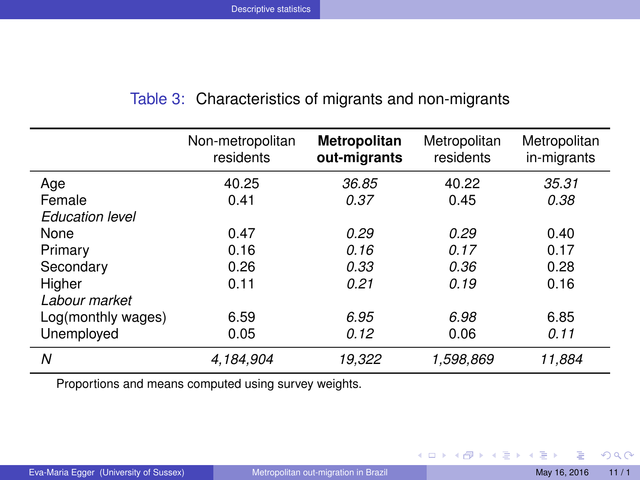| Table 3: Characteristics of migrants and non-migrants |  |  |  |  |  |
|-------------------------------------------------------|--|--|--|--|--|
|-------------------------------------------------------|--|--|--|--|--|

<span id="page-10-0"></span>

|                        | Non-metropolitan<br>residents | Metropolitan<br>out-migrants | Metropolitan<br>residents | Metropolitan<br>in-migrants |
|------------------------|-------------------------------|------------------------------|---------------------------|-----------------------------|
| Age                    | 40.25                         | 36.85                        | 40.22                     | 35.31                       |
| Female                 | 0.41                          | 0.37                         | 0.45                      | 0.38                        |
| <b>Education level</b> |                               |                              |                           |                             |
| None                   | 0.47                          | 0.29                         | 0.29                      | 0.40                        |
| Primary                | 0.16                          | 0.16                         | 0.17                      | 0.17                        |
| Secondary              | 0.26                          | 0.33                         | 0.36                      | 0.28                        |
| Higher                 | 0.11                          | 0.21                         | 0.19                      | 0.16                        |
| Labour market          |                               |                              |                           |                             |
| Log(monthly wages)     | 6.59                          | 6.95                         | 6.98                      | 6.85                        |
| Unemployed             | 0.05                          | 0.12                         | 0.06                      | 0.11                        |
| N                      | 4,184,904                     | 19,322                       | 1,598,869                 | 11,884                      |

Proportions and means computed using survey weights.

 $OQ$ 

メロメメ 倒 メメ ミメメ ミメー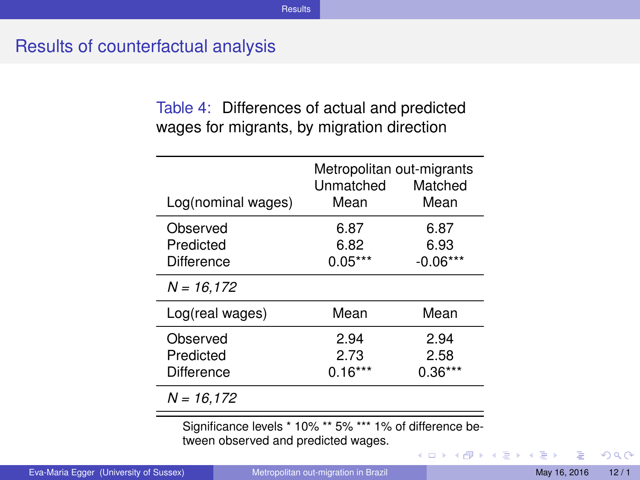#### <span id="page-11-0"></span>Results of counterfactual analysis

Table 4: Differences of actual and predicted wages for migrants, by migration direction

| Log(nominal wages)                  | Metropolitan out-migrants<br>Unmatched<br>Mean | Matched<br>Mean           |
|-------------------------------------|------------------------------------------------|---------------------------|
| Observed<br>Predicted<br>Difference | 6.87<br>6.82<br>$0.05***$                      | 6.87<br>6.93<br>-0.06***  |
| $N = 16.172$                        |                                                |                           |
| Log(real wages)                     | Mean                                           | Mean                      |
| Observed<br>Predicted<br>Difference | 2.94<br>2.73<br>$0.16***$                      | 2.94<br>2.58<br>$0.36***$ |
| $N = 16.172$                        |                                                |                           |

Significance levels \* 10% \*\* 5% \*\*\* 1% of difference between observed and predicted wages.

**←ロト ←何ト** 

∍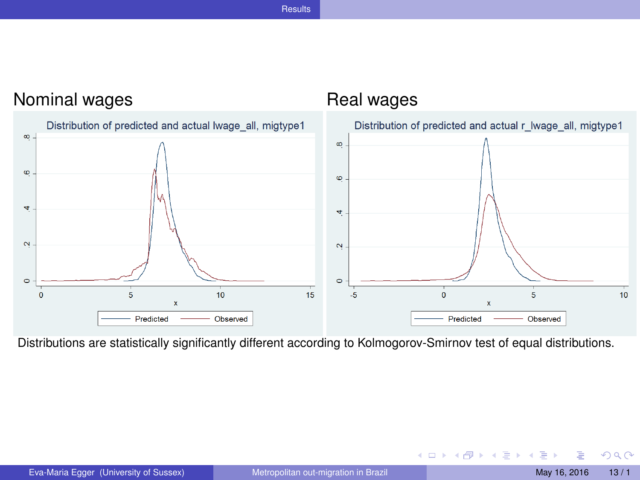#### **[Results](#page-12-0)**

<span id="page-12-0"></span>

Distributions are statistically significantly different according to Kolmogorov-Smirnov test of equal distributions.

**◆ ロ ▶ → 何** 

D-B E

 $\left( 1\right)$ 

× ×.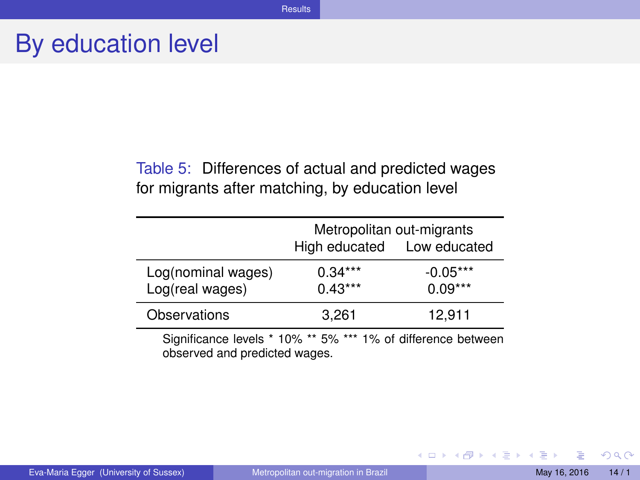### <span id="page-13-0"></span>By education level

Table 5: Differences of actual and predicted wages for migrants after matching, by education level

|                                                                                               | Metropolitan out-migrants<br>High educated  Low educated |                         |  |
|-----------------------------------------------------------------------------------------------|----------------------------------------------------------|-------------------------|--|
| Log(nominal wages)<br>Log(real wages)                                                         | $0.34***$<br>$0.43***$                                   | $-0.05***$<br>$0.09***$ |  |
| Observations                                                                                  | 3.261                                                    | 12.911                  |  |
| Significance levels * 10% ** 5% *** 1% of difference between<br>observed and predicted wages. |                                                          |                         |  |

Eva-Maria Egger (University of Sussex) [Metropolitan out-migration in Brazil](#page-0-0) May 16, 2016 14/1

**K ロ ト K 何 ト** 

あきする  $\sim$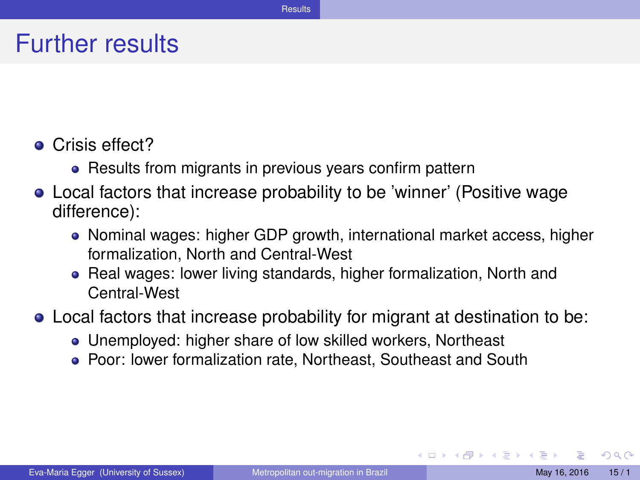#### <span id="page-14-0"></span>Further results

- Crisis effect?
	- Results from migrants in previous years confirm pattern
- Local factors that increase probability to be 'winner' (Positive wage difference):
	- Nominal wages: higher GDP growth, international market access, higher formalization, North and Central-West
	- Real wages: lower living standards, higher formalization, North and Central-West
- Local factors that increase probability for migrant at destination to be:
	- Unemployed: higher share of low skilled workers, Northeast
	- Poor: lower formalization rate, Northeast, Southeast and South

**∢ ロ ▶ ィ 何** 

化重新化重新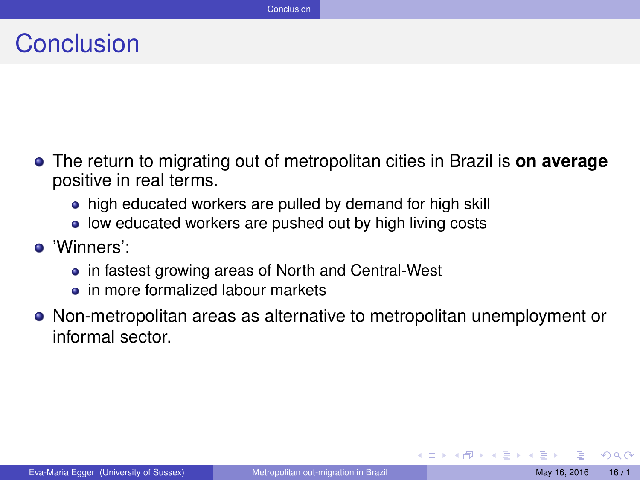### <span id="page-15-0"></span>**Conclusion**

- The return to migrating out of metropolitan cities in Brazil is **on average** positive in real terms.
	- high educated workers are pulled by demand for high skill
	- low educated workers are pushed out by high living costs
- 'Winners':
	- in fastest growing areas of North and Central-West
	- $\bullet$  in more formalized labour markets
- Non-metropolitan areas as alternative to metropolitan unemployment or informal sector.

4 D.K.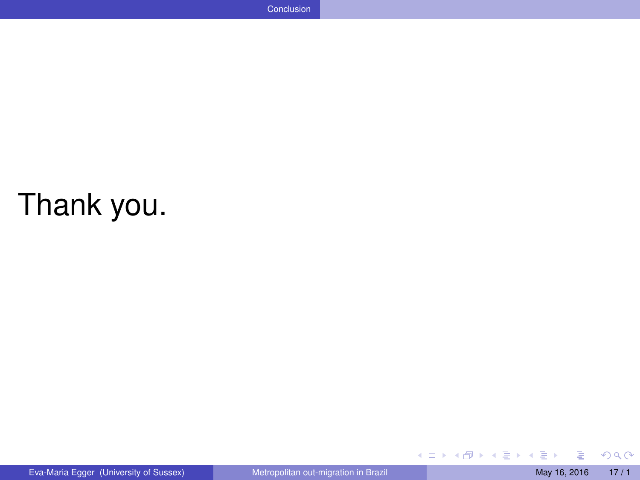# <span id="page-16-0"></span>Thank you.

 $\mathbf{p}$ 

 $298$ 

メロメメ 倒 メメ ミメメ 毛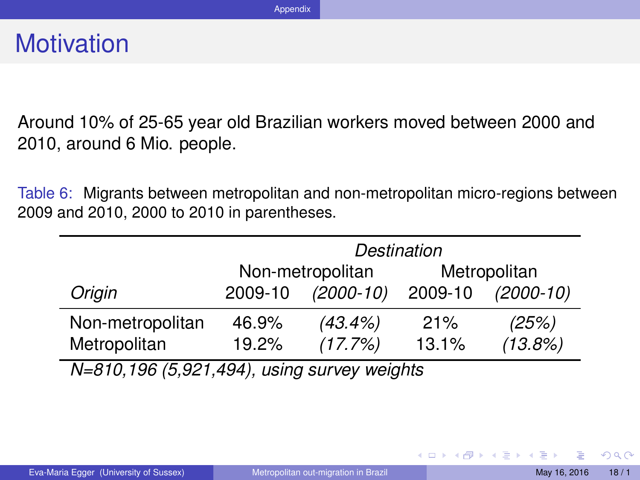<span id="page-17-0"></span>Around 10% of 25-65 year old Brazilian workers moved between 2000 and 2010, around 6 Mio. people.

Table 6: Migrants between metropolitan and non-metropolitan micro-regions between 2009 and 2010, 2000 to 2010 in parentheses.

|                                             | Destination                      |             |         |             |
|---------------------------------------------|----------------------------------|-------------|---------|-------------|
|                                             | Non-metropolitan<br>Metropolitan |             |         |             |
| Origin                                      | 2009-10                          | $(2000-10)$ | 2009-10 | $(2000-10)$ |
| Non-metropolitan                            | 46.9%                            | $(43.4\%)$  | 21%     | (25%)       |
| Metropolitan                                | 19.2%                            | (17.7%)     | 13.1%   | (13.8%)     |
| N=810,196 (5,921,494), using survey weights |                                  |             |         |             |

 $QQ$ 

イロト イ母 トイラト イラト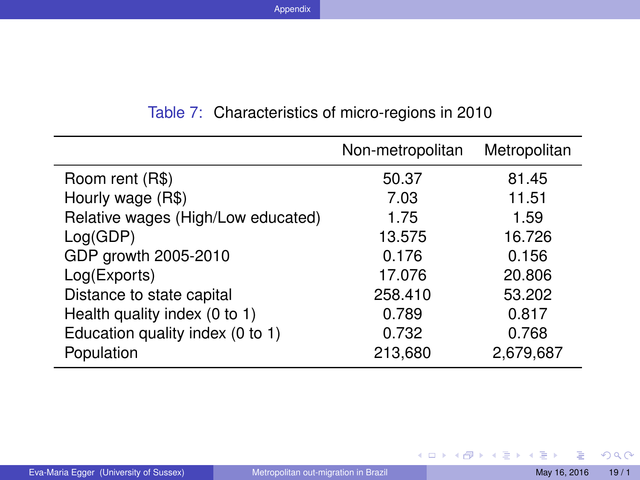<span id="page-18-0"></span>

| Non-metropolitan | Metropolitan |
|------------------|--------------|
| 50.37            | 81.45        |
| 7.03             | 11.51        |
| 1.75             | 1.59         |
| 13.575           | 16.726       |
| 0.176            | 0.156        |
| 17.076           | 20,806       |
| 258.410          | 53.202       |
| 0.789            | 0.817        |
| 0.732            | 0.768        |
| 213,680          | 2,679,687    |
|                  |              |

#### Table 7: Characteristics of micro-regions in 2010

 $298$ 

メロトメ 伊 トメ ミトメ ミト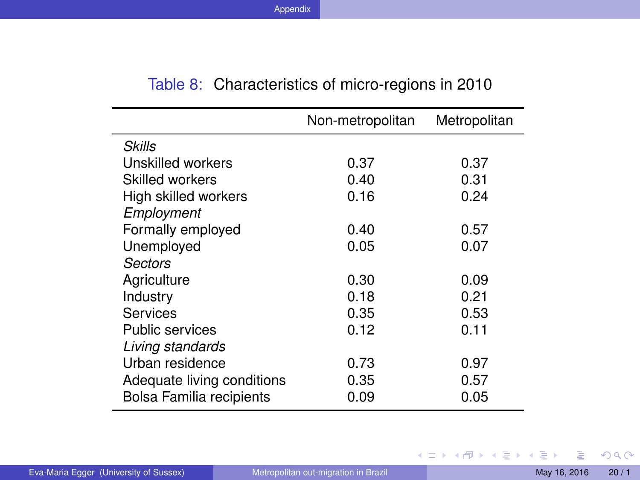<span id="page-19-0"></span>

|                            | Non-metropolitan | Metropolitan |
|----------------------------|------------------|--------------|
| Skills                     |                  |              |
| Unskilled workers          | 0.37             | 0.37         |
| Skilled workers            | 0.40             | 0.31         |
| High skilled workers       | 0.16             | 0.24         |
| Employment                 |                  |              |
| Formally employed          | 0.40             | 0.57         |
| Unemployed                 | 0.05             | 0.07         |
| Sectors                    |                  |              |
| Agriculture                | 0.30             | 0.09         |
| Industry                   | 0.18             | 0.21         |
| Services                   | 0.35             | 0.53         |
| <b>Public services</b>     | 0.12             | 0.11         |
| Living standards           |                  |              |
| Urban residence            | 0.73             | 0.97         |
| Adequate living conditions | 0.35             | 0.57         |
| Bolsa Familia recipients   | 0.09             | 0.05         |

#### Table 8: Characteristics of micro-regions in 2010

 $2Q$ 

メロトメ 伊 トメ ミトメ ミト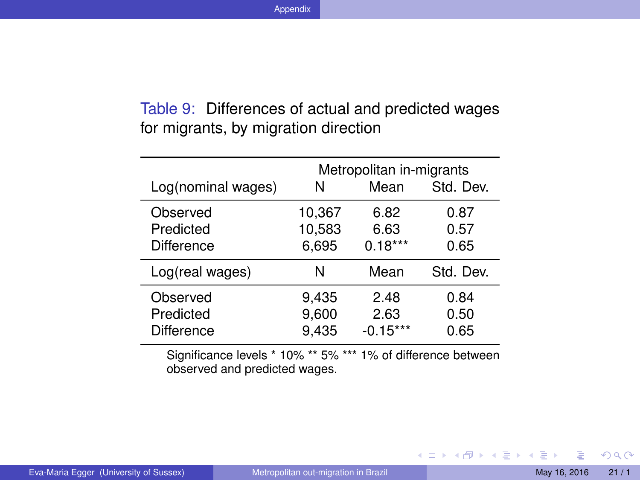#### <span id="page-20-0"></span>Table 9: Differences of actual and predicted wages for migrants, by migration direction

| Log(nominal wages)                                                    | N                | Metropolitan in-migrants<br>Mean | Std. Dev.    |  |
|-----------------------------------------------------------------------|------------------|----------------------------------|--------------|--|
| Observed<br>Predicted                                                 | 10,367<br>10,583 | 6.82<br>6.63                     | 0.87<br>0.57 |  |
| <b>Difference</b>                                                     | 6,695            | $0.18***$                        | 0.65         |  |
| Log(real wages)                                                       | N                | Mean                             | Std. Dev.    |  |
| Observed                                                              | 9,435            | 2.48                             | 0.84         |  |
| Predicted                                                             | 9,600            | 2.63                             | 0.50         |  |
| <b>Difference</b>                                                     | 9,435            | $-0.15***$                       | 0.65         |  |
| $Cianifiaanaalawala * 400/$<br>$10/14$ difference hatusan<br>$** E0/$ |                  |                                  |              |  |

Significance levels \* 10% \*\* 5% \*\*\* 1% of difference between observed and predicted wages.

K ロ ⊁ K 倒 ≯ K 君 ⊁ K 君 ≯

 $298$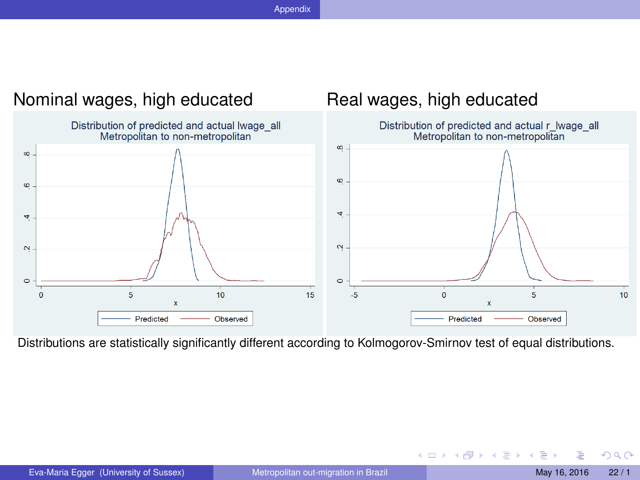<span id="page-21-0"></span>

Distributions are statistically significantly different according to Kolmogorov-Smirnov test of equal distributions.

**K ロ ト K 何 ト** 

×. **THE SE**  $\left( 1\right)$   $QQ$ 

E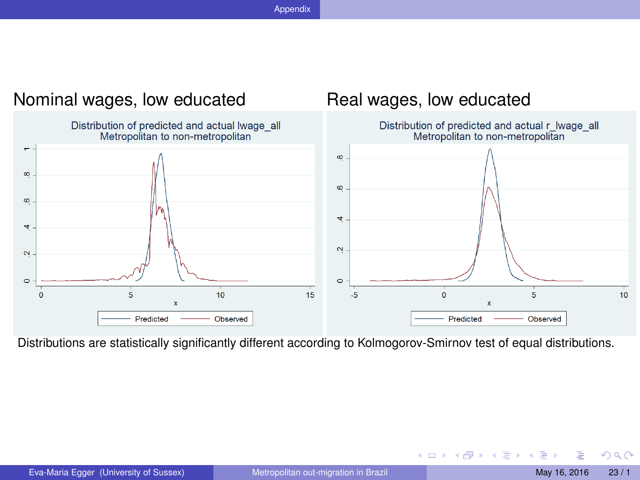<span id="page-22-0"></span>

Distributions are statistically significantly different according to Kolmogorov-Smirnov test of equal distributions.

**K ロ ト K 何 ト** 

→ 重 ★  $\rightarrow$   $\equiv$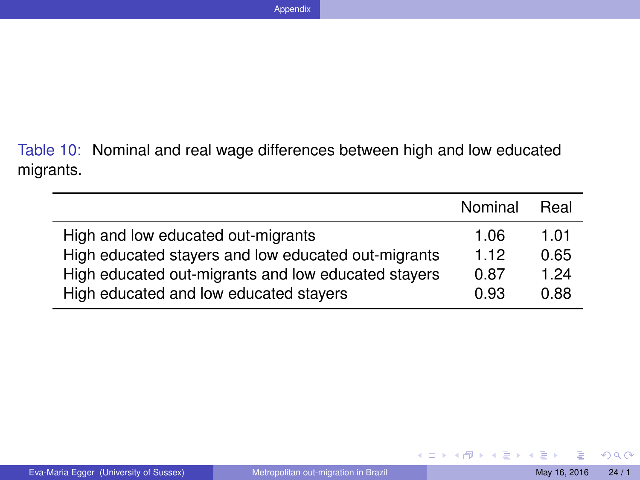<span id="page-23-0"></span>Table 10: Nominal and real wage differences between high and low educated migrants.

|                                                     | Nominal | Real |
|-----------------------------------------------------|---------|------|
| High and low educated out-migrants                  | 1.06    | 1.01 |
| High educated stayers and low educated out-migrants | 1.12    | 0.65 |
| High educated out-migrants and low educated stayers | 0.87    | 1.24 |
| High educated and low educated stayers              | 0.93    | 0.88 |

 $298$ 

K ロ ⊁ K 伊 ⊁ K ミ ⊁ K ミ ⊁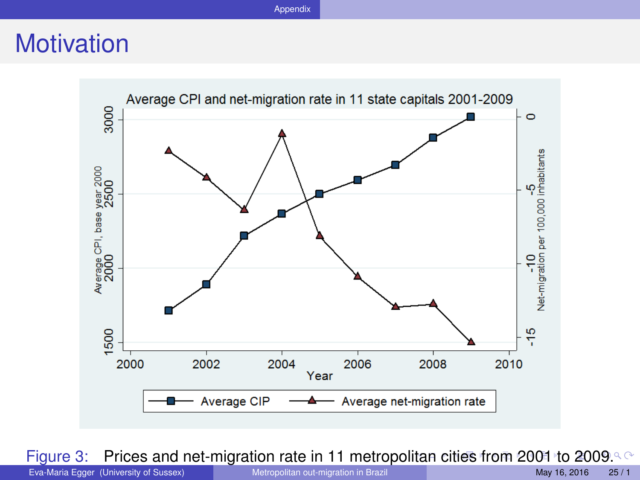### <span id="page-24-0"></span>**Motivation**



Figure 3: Prices and net-migration rate in 11 metropol[ita](#page-23-0)n [cities from 2001 to 200](#page-0-0)9. C<br>Eva-Maria Egger (University of Sussex) Metropolitan out-migration in Brazil

Eva-Maria Egger (University of Sussex) [Metropolitan out-migration in Brazil](#page-0-0) May 16, 2016 25/1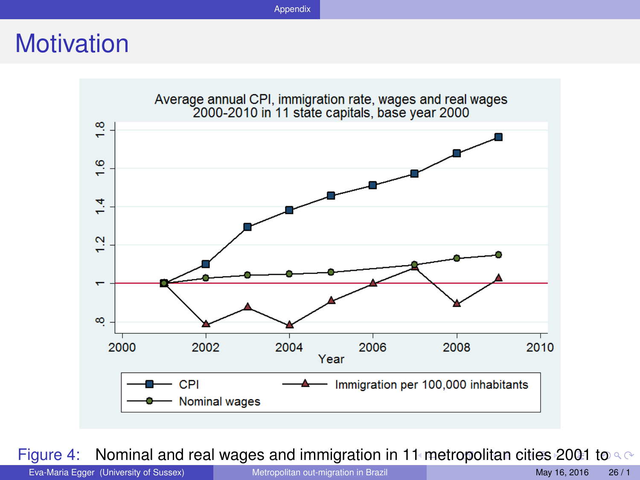### <span id="page-25-0"></span>**Motivation**



Figure 4: Nominal and real wages and immigration in 1[1 m](#page-24-0)[etropolitan cities 2001 t](#page-0-0)o  $\infty$ 

2009. Eva-Maria Egger (University of Sussex) [Metropolitan out-migration in Brazil](#page-0-0) May 16, 2016 26 / 1